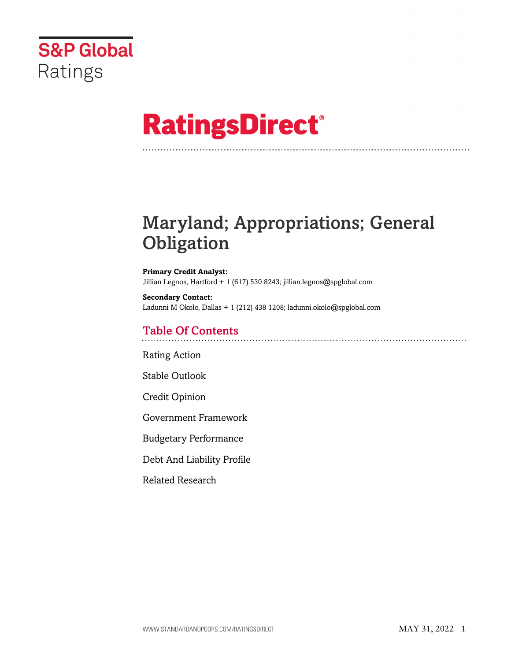

# **RatingsDirect®**

# Maryland; Appropriations; General **Obligation**

**Primary Credit Analyst:** Jillian Legnos, Hartford + 1 (617) 530 8243; jillian.legnos@spglobal.com

**Secondary Contact:** Ladunni M Okolo, Dallas + 1 (212) 438 1208; ladunni.okolo@spglobal.com

# Table Of Contents

[Rating Action](#page-1-0)

[Stable Outlook](#page-3-0)

[Credit Opinion](#page-4-0)

[Government Framework](#page-4-1)

[Budgetary Performance](#page-6-0)

[Debt And Liability Profile](#page-6-1)

[Related Research](#page-9-0)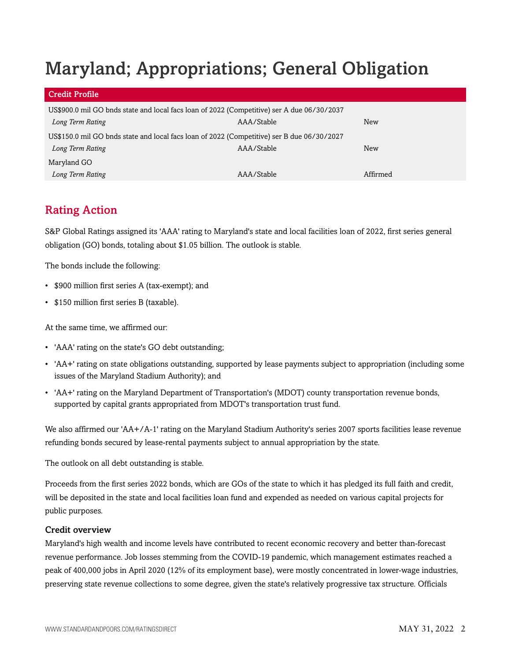# Maryland; Appropriations; General Obligation

| <b>Credit Profile</b>                                                                      |            |            |  |  |
|--------------------------------------------------------------------------------------------|------------|------------|--|--|
| US\$900.0 mil GO bnds state and local facs loan of 2022 (Competitive) ser A due 06/30/2037 |            |            |  |  |
| Long Term Rating                                                                           | AAA/Stable | New        |  |  |
| US\$150.0 mil GO bnds state and local facs loan of 2022 (Competitive) ser B due 06/30/2027 |            |            |  |  |
| Long Term Rating                                                                           | AAA/Stable | <b>New</b> |  |  |
| Maryland GO                                                                                |            |            |  |  |
| Long Term Rating                                                                           | AAA/Stable | Affirmed   |  |  |

# <span id="page-1-0"></span>Rating Action

S&P Global Ratings assigned its 'AAA' rating to Maryland's state and local facilities loan of 2022, first series general obligation (GO) bonds, totaling about \$1.05 billion. The outlook is stable.

The bonds include the following:

- \$900 million first series A (tax-exempt); and
- \$150 million first series B (taxable).

At the same time, we affirmed our:

- 'AAA' rating on the state's GO debt outstanding;
- 'AA+' rating on state obligations outstanding, supported by lease payments subject to appropriation (including some issues of the Maryland Stadium Authority); and
- 'AA+' rating on the Maryland Department of Transportation's (MDOT) county transportation revenue bonds, supported by capital grants appropriated from MDOT's transportation trust fund.

We also affirmed our 'AA+/A-1' rating on the Maryland Stadium Authority's series 2007 sports facilities lease revenue refunding bonds secured by lease-rental payments subject to annual appropriation by the state.

The outlook on all debt outstanding is stable.

Proceeds from the first series 2022 bonds, which are GOs of the state to which it has pledged its full faith and credit, will be deposited in the state and local facilities loan fund and expended as needed on various capital projects for public purposes.

#### Credit overview

Maryland's high wealth and income levels have contributed to recent economic recovery and better than-forecast revenue performance. Job losses stemming from the COVID-19 pandemic, which management estimates reached a peak of 400,000 jobs in April 2020 (12% of its employment base), were mostly concentrated in lower-wage industries, preserving state revenue collections to some degree, given the state's relatively progressive tax structure. Officials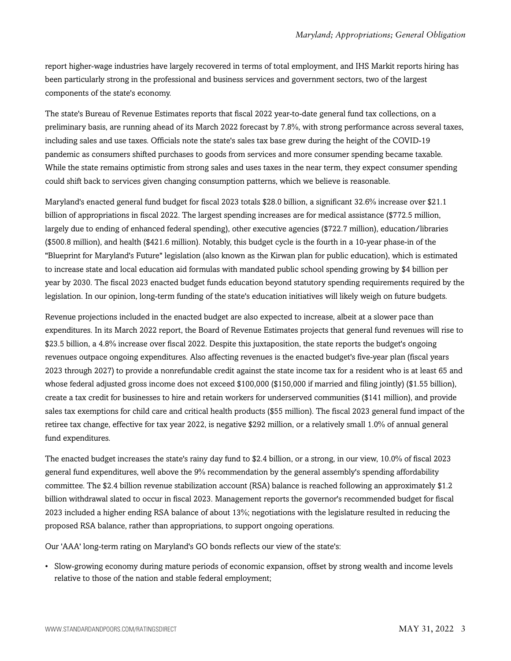report higher-wage industries have largely recovered in terms of total employment, and IHS Markit reports hiring has been particularly strong in the professional and business services and government sectors, two of the largest components of the state's economy.

The state's Bureau of Revenue Estimates reports that fiscal 2022 year-to-date general fund tax collections, on a preliminary basis, are running ahead of its March 2022 forecast by 7.8%, with strong performance across several taxes, including sales and use taxes. Officials note the state's sales tax base grew during the height of the COVID-19 pandemic as consumers shifted purchases to goods from services and more consumer spending became taxable. While the state remains optimistic from strong sales and uses taxes in the near term, they expect consumer spending could shift back to services given changing consumption patterns, which we believe is reasonable.

Maryland's enacted general fund budget for fiscal 2023 totals \$28.0 billion, a significant 32.6% increase over \$21.1 billion of appropriations in fiscal 2022. The largest spending increases are for medical assistance (\$772.5 million, largely due to ending of enhanced federal spending), other executive agencies (\$722.7 million), education/libraries (\$500.8 million), and health (\$421.6 million). Notably, this budget cycle is the fourth in a 10-year phase-in of the "Blueprint for Maryland's Future" legislation (also known as the Kirwan plan for public education), which is estimated to increase state and local education aid formulas with mandated public school spending growing by \$4 billion per year by 2030. The fiscal 2023 enacted budget funds education beyond statutory spending requirements required by the legislation. In our opinion, long-term funding of the state's education initiatives will likely weigh on future budgets.

Revenue projections included in the enacted budget are also expected to increase, albeit at a slower pace than expenditures. In its March 2022 report, the Board of Revenue Estimates projects that general fund revenues will rise to \$23.5 billion, a 4.8% increase over fiscal 2022. Despite this juxtaposition, the state reports the budget's ongoing revenues outpace ongoing expenditures. Also affecting revenues is the enacted budget's five-year plan (fiscal years 2023 through 2027) to provide a nonrefundable credit against the state income tax for a resident who is at least 65 and whose federal adjusted gross income does not exceed \$100,000 (\$150,000 if married and filing jointly) (\$1.55 billion), create a tax credit for businesses to hire and retain workers for underserved communities (\$141 million), and provide sales tax exemptions for child care and critical health products (\$55 million). The fiscal 2023 general fund impact of the retiree tax change, effective for tax year 2022, is negative \$292 million, or a relatively small 1.0% of annual general fund expenditures.

The enacted budget increases the state's rainy day fund to \$2.4 billion, or a strong, in our view, 10.0% of fiscal 2023 general fund expenditures, well above the 9% recommendation by the general assembly's spending affordability committee. The \$2.4 billion revenue stabilization account (RSA) balance is reached following an approximately \$1.2 billion withdrawal slated to occur in fiscal 2023. Management reports the governor's recommended budget for fiscal 2023 included a higher ending RSA balance of about 13%; negotiations with the legislature resulted in reducing the proposed RSA balance, rather than appropriations, to support ongoing operations.

Our 'AAA' long-term rating on Maryland's GO bonds reflects our view of the state's:

• Slow-growing economy during mature periods of economic expansion, offset by strong wealth and income levels relative to those of the nation and stable federal employment;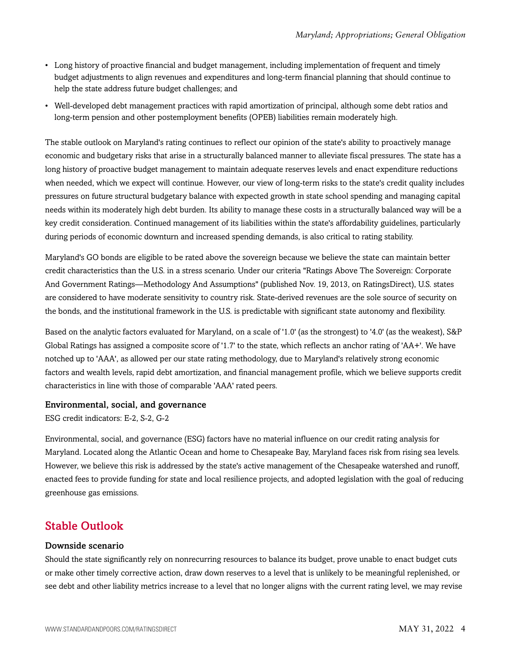- Long history of proactive financial and budget management, including implementation of frequent and timely budget adjustments to align revenues and expenditures and long-term financial planning that should continue to help the state address future budget challenges; and
- Well-developed debt management practices with rapid amortization of principal, although some debt ratios and long-term pension and other postemployment benefits (OPEB) liabilities remain moderately high.

The stable outlook on Maryland's rating continues to reflect our opinion of the state's ability to proactively manage economic and budgetary risks that arise in a structurally balanced manner to alleviate fiscal pressures. The state has a long history of proactive budget management to maintain adequate reserves levels and enact expenditure reductions when needed, which we expect will continue. However, our view of long-term risks to the state's credit quality includes pressures on future structural budgetary balance with expected growth in state school spending and managing capital needs within its moderately high debt burden. Its ability to manage these costs in a structurally balanced way will be a key credit consideration. Continued management of its liabilities within the state's affordability guidelines, particularly during periods of economic downturn and increased spending demands, is also critical to rating stability.

Maryland's GO bonds are eligible to be rated above the sovereign because we believe the state can maintain better credit characteristics than the U.S. in a stress scenario. Under our criteria "Ratings Above The Sovereign: Corporate And Government Ratings—Methodology And Assumptions" (published Nov. 19, 2013, on RatingsDirect), U.S. states are considered to have moderate sensitivity to country risk. State-derived revenues are the sole source of security on the bonds, and the institutional framework in the U.S. is predictable with significant state autonomy and flexibility.

Based on the analytic factors evaluated for Maryland, on a scale of '1.0' (as the strongest) to '4.0' (as the weakest), S&P Global Ratings has assigned a composite score of '1.7' to the state, which reflects an anchor rating of 'AA+'. We have notched up to 'AAA', as allowed per our state rating methodology, due to Maryland's relatively strong economic factors and wealth levels, rapid debt amortization, and financial management profile, which we believe supports credit characteristics in line with those of comparable 'AAA' rated peers.

#### Environmental, social, and governance

ESG credit indicators: E-2, S-2, G-2

Environmental, social, and governance (ESG) factors have no material influence on our credit rating analysis for Maryland. Located along the Atlantic Ocean and home to Chesapeake Bay, Maryland faces risk from rising sea levels. However, we believe this risk is addressed by the state's active management of the Chesapeake watershed and runoff, enacted fees to provide funding for state and local resilience projects, and adopted legislation with the goal of reducing greenhouse gas emissions.

# <span id="page-3-0"></span>Stable Outlook

#### Downside scenario

Should the state significantly rely on nonrecurring resources to balance its budget, prove unable to enact budget cuts or make other timely corrective action, draw down reserves to a level that is unlikely to be meaningful replenished, or see debt and other liability metrics increase to a level that no longer aligns with the current rating level, we may revise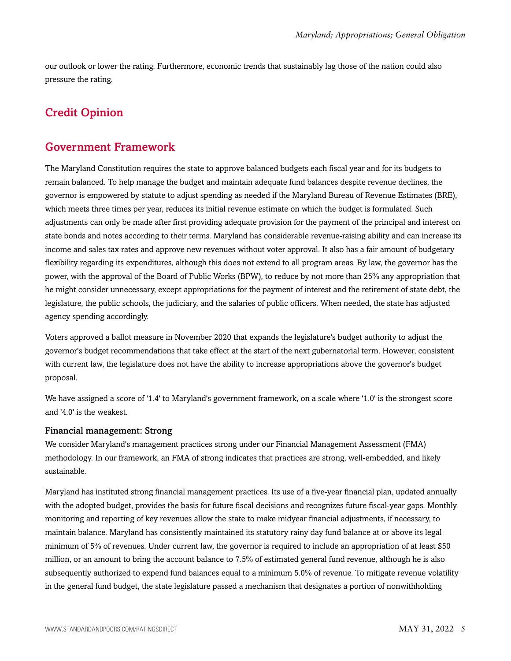our outlook or lower the rating. Furthermore, economic trends that sustainably lag those of the nation could also pressure the rating.

# <span id="page-4-1"></span><span id="page-4-0"></span>Credit Opinion

# Government Framework

The Maryland Constitution requires the state to approve balanced budgets each fiscal year and for its budgets to remain balanced. To help manage the budget and maintain adequate fund balances despite revenue declines, the governor is empowered by statute to adjust spending as needed if the Maryland Bureau of Revenue Estimates (BRE), which meets three times per year, reduces its initial revenue estimate on which the budget is formulated. Such adjustments can only be made after first providing adequate provision for the payment of the principal and interest on state bonds and notes according to their terms. Maryland has considerable revenue-raising ability and can increase its income and sales tax rates and approve new revenues without voter approval. It also has a fair amount of budgetary flexibility regarding its expenditures, although this does not extend to all program areas. By law, the governor has the power, with the approval of the Board of Public Works (BPW), to reduce by not more than 25% any appropriation that he might consider unnecessary, except appropriations for the payment of interest and the retirement of state debt, the legislature, the public schools, the judiciary, and the salaries of public officers. When needed, the state has adjusted agency spending accordingly.

Voters approved a ballot measure in November 2020 that expands the legislature's budget authority to adjust the governor's budget recommendations that take effect at the start of the next gubernatorial term. However, consistent with current law, the legislature does not have the ability to increase appropriations above the governor's budget proposal.

We have assigned a score of '1.4' to Maryland's government framework, on a scale where '1.0' is the strongest score and '4.0' is the weakest.

#### Financial management: Strong

We consider Maryland's management practices strong under our Financial Management Assessment (FMA) methodology. In our framework, an FMA of strong indicates that practices are strong, well-embedded, and likely sustainable.

Maryland has instituted strong financial management practices. Its use of a five-year financial plan, updated annually with the adopted budget, provides the basis for future fiscal decisions and recognizes future fiscal-year gaps. Monthly monitoring and reporting of key revenues allow the state to make midyear financial adjustments, if necessary, to maintain balance. Maryland has consistently maintained its statutory rainy day fund balance at or above its legal minimum of 5% of revenues. Under current law, the governor is required to include an appropriation of at least \$50 million, or an amount to bring the account balance to 7.5% of estimated general fund revenue, although he is also subsequently authorized to expend fund balances equal to a minimum 5.0% of revenue. To mitigate revenue volatility in the general fund budget, the state legislature passed a mechanism that designates a portion of nonwithholding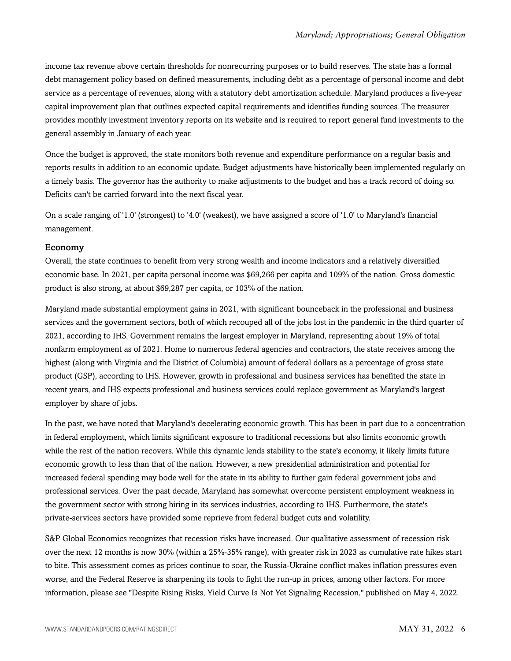income tax revenue above certain thresholds for nonrecurring purposes or to build reserves. The state has a formal debt management policy based on defined measurements, including debt as a percentage of personal income and debt service as a percentage of revenues, along with a statutory debt amortization schedule. Maryland produces a five-year capital improvement plan that outlines expected capital requirements and identifies funding sources. The treasurer provides monthly investment inventory reports on its website and is required to report general fund investments to the general assembly in January of each year.

Once the budget is approved, the state monitors both revenue and expenditure performance on a regular basis and reports results in addition to an economic update. Budget adjustments have historically been implemented regularly on a timely basis. The governor has the authority to make adjustments to the budget and has a track record of doing so. Deficits can't be carried forward into the next fiscal year.

On a scale ranging of '1.0' (strongest) to '4.0' (weakest), we have assigned a score of '1.0' to Maryland's financial management.

#### Economy

Overall, the state continues to benefit from very strong wealth and income indicators and a relatively diversified economic base. In 2021, per capita personal income was \$69,266 per capita and 109% of the nation. Gross domestic product is also strong, at about \$69,287 per capita, or 103% of the nation.

Maryland made substantial employment gains in 2021, with significant bounceback in the professional and business services and the government sectors, both of which recouped all of the jobs lost in the pandemic in the third quarter of 2021, according to IHS. Government remains the largest employer in Maryland, representing about 19% of total nonfarm employment as of 2021. Home to numerous federal agencies and contractors, the state receives among the highest (along with Virginia and the District of Columbia) amount of federal dollars as a percentage of gross state product (GSP), according to IHS. However, growth in professional and business services has benefited the state in recent years, and IHS expects professional and business services could replace government as Maryland's largest employer by share of jobs.

In the past, we have noted that Maryland's decelerating economic growth. This has been in part due to a concentration in federal employment, which limits significant exposure to traditional recessions but also limits economic growth while the rest of the nation recovers. While this dynamic lends stability to the state's economy, it likely limits future economic growth to less than that of the nation. However, a new presidential administration and potential for increased federal spending may bode well for the state in its ability to further gain federal government jobs and professional services. Over the past decade, Maryland has somewhat overcome persistent employment weakness in the government sector with strong hiring in its services industries, according to IHS. Furthermore, the state's private-services sectors have provided some reprieve from federal budget cuts and volatility.

S&P Global Economics recognizes that recession risks have increased. Our qualitative assessment of recession risk over the next 12 months is now 30% (within a 25%-35% range), with greater risk in 2023 as cumulative rate hikes start to bite. This assessment comes as prices continue to soar, the Russia-Ukraine conflict makes inflation pressures even worse, and the Federal Reserve is sharpening its tools to fight the run-up in prices, among other factors. For more information, please see "Despite Rising Risks, Yield Curve Is Not Yet Signaling Recession," published on May 4, 2022.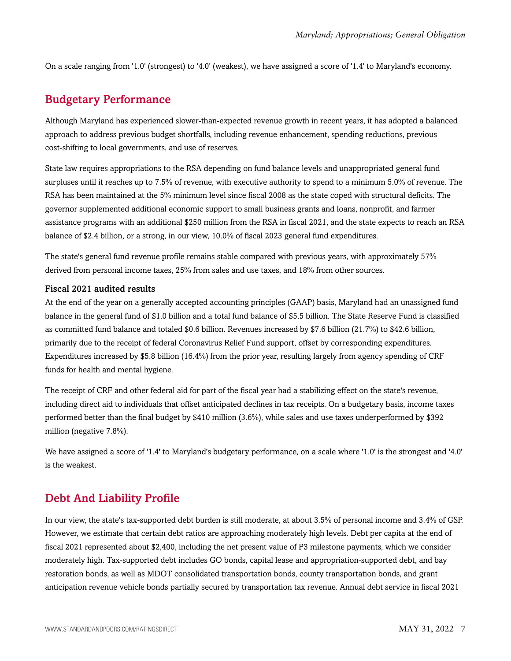<span id="page-6-0"></span>On a scale ranging from '1.0' (strongest) to '4.0' (weakest), we have assigned a score of '1.4' to Maryland's economy.

## Budgetary Performance

Although Maryland has experienced slower-than-expected revenue growth in recent years, it has adopted a balanced approach to address previous budget shortfalls, including revenue enhancement, spending reductions, previous cost-shifting to local governments, and use of reserves.

State law requires appropriations to the RSA depending on fund balance levels and unappropriated general fund surpluses until it reaches up to 7.5% of revenue, with executive authority to spend to a minimum 5.0% of revenue. The RSA has been maintained at the 5% minimum level since fiscal 2008 as the state coped with structural deficits. The governor supplemented additional economic support to small business grants and loans, nonprofit, and farmer assistance programs with an additional \$250 million from the RSA in fiscal 2021, and the state expects to reach an RSA balance of \$2.4 billion, or a strong, in our view, 10.0% of fiscal 2023 general fund expenditures.

The state's general fund revenue profile remains stable compared with previous years, with approximately 57% derived from personal income taxes, 25% from sales and use taxes, and 18% from other sources.

#### Fiscal 2021 audited results

At the end of the year on a generally accepted accounting principles (GAAP) basis, Maryland had an unassigned fund balance in the general fund of \$1.0 billion and a total fund balance of \$5.5 billion. The State Reserve Fund is classified as committed fund balance and totaled \$0.6 billion. Revenues increased by \$7.6 billion (21.7%) to \$42.6 billion, primarily due to the receipt of federal Coronavirus Relief Fund support, offset by corresponding expenditures. Expenditures increased by \$5.8 billion (16.4%) from the prior year, resulting largely from agency spending of CRF funds for health and mental hygiene.

The receipt of CRF and other federal aid for part of the fiscal year had a stabilizing effect on the state's revenue, including direct aid to individuals that offset anticipated declines in tax receipts. On a budgetary basis, income taxes performed better than the final budget by \$410 million (3.6%), while sales and use taxes underperformed by \$392 million (negative 7.8%).

We have assigned a score of '1.4' to Maryland's budgetary performance, on a scale where '1.0' is the strongest and '4.0' is the weakest.

### <span id="page-6-1"></span>Debt And Liability Profile

In our view, the state's tax-supported debt burden is still moderate, at about 3.5% of personal income and 3.4% of GSP. However, we estimate that certain debt ratios are approaching moderately high levels. Debt per capita at the end of fiscal 2021 represented about \$2,400, including the net present value of P3 milestone payments, which we consider moderately high. Tax-supported debt includes GO bonds, capital lease and appropriation-supported debt, and bay restoration bonds, as well as MDOT consolidated transportation bonds, county transportation bonds, and grant anticipation revenue vehicle bonds partially secured by transportation tax revenue. Annual debt service in fiscal 2021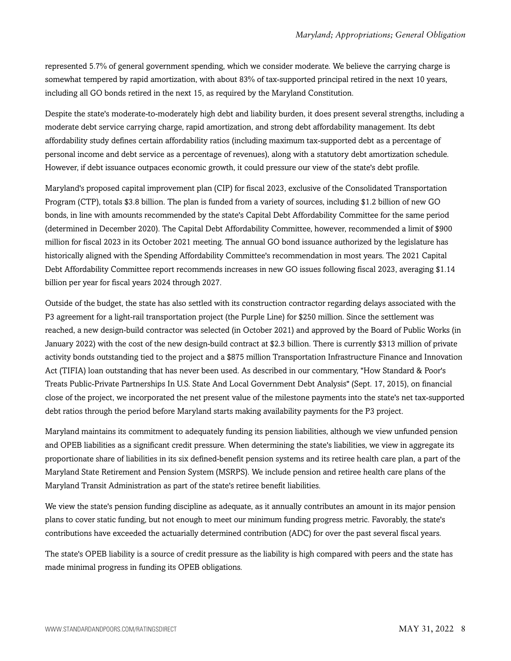represented 5.7% of general government spending, which we consider moderate. We believe the carrying charge is somewhat tempered by rapid amortization, with about 83% of tax-supported principal retired in the next 10 years, including all GO bonds retired in the next 15, as required by the Maryland Constitution.

Despite the state's moderate-to-moderately high debt and liability burden, it does present several strengths, including a moderate debt service carrying charge, rapid amortization, and strong debt affordability management. Its debt affordability study defines certain affordability ratios (including maximum tax-supported debt as a percentage of personal income and debt service as a percentage of revenues), along with a statutory debt amortization schedule. However, if debt issuance outpaces economic growth, it could pressure our view of the state's debt profile.

Maryland's proposed capital improvement plan (CIP) for fiscal 2023, exclusive of the Consolidated Transportation Program (CTP), totals \$3.8 billion. The plan is funded from a variety of sources, including \$1.2 billion of new GO bonds, in line with amounts recommended by the state's Capital Debt Affordability Committee for the same period (determined in December 2020). The Capital Debt Affordability Committee, however, recommended a limit of \$900 million for fiscal 2023 in its October 2021 meeting. The annual GO bond issuance authorized by the legislature has historically aligned with the Spending Affordability Committee's recommendation in most years. The 2021 Capital Debt Affordability Committee report recommends increases in new GO issues following fiscal 2023, averaging \$1.14 billion per year for fiscal years 2024 through 2027.

Outside of the budget, the state has also settled with its construction contractor regarding delays associated with the P3 agreement for a light-rail transportation project (the Purple Line) for \$250 million. Since the settlement was reached, a new design-build contractor was selected (in October 2021) and approved by the Board of Public Works (in January 2022) with the cost of the new design-build contract at \$2.3 billion. There is currently \$313 million of private activity bonds outstanding tied to the project and a \$875 million Transportation Infrastructure Finance and Innovation Act (TIFIA) loan outstanding that has never been used. As described in our commentary, "How Standard & Poor's Treats Public-Private Partnerships In U.S. State And Local Government Debt Analysis" (Sept. 17, 2015), on financial close of the project, we incorporated the net present value of the milestone payments into the state's net tax-supported debt ratios through the period before Maryland starts making availability payments for the P3 project.

Maryland maintains its commitment to adequately funding its pension liabilities, although we view unfunded pension and OPEB liabilities as a significant credit pressure. When determining the state's liabilities, we view in aggregate its proportionate share of liabilities in its six defined-benefit pension systems and its retiree health care plan, a part of the Maryland State Retirement and Pension System (MSRPS). We include pension and retiree health care plans of the Maryland Transit Administration as part of the state's retiree benefit liabilities.

We view the state's pension funding discipline as adequate, as it annually contributes an amount in its major pension plans to cover static funding, but not enough to meet our minimum funding progress metric. Favorably, the state's contributions have exceeded the actuarially determined contribution (ADC) for over the past several fiscal years.

The state's OPEB liability is a source of credit pressure as the liability is high compared with peers and the state has made minimal progress in funding its OPEB obligations.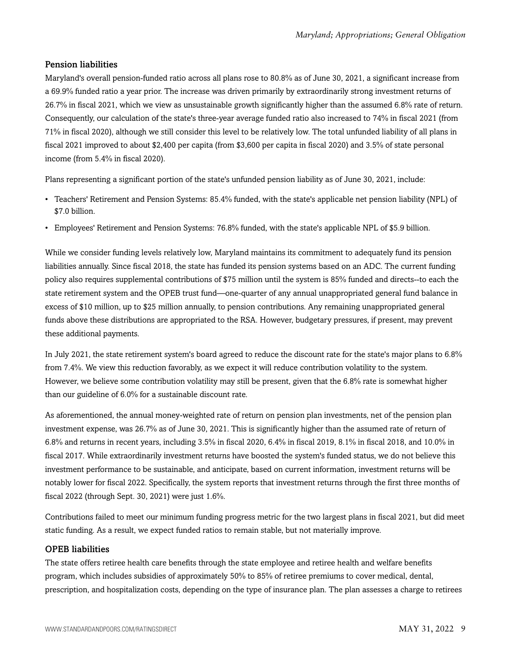### Pension liabilities

Maryland's overall pension-funded ratio across all plans rose to 80.8% as of June 30, 2021, a significant increase from a 69.9% funded ratio a year prior. The increase was driven primarily by extraordinarily strong investment returns of 26.7% in fiscal 2021, which we view as unsustainable growth significantly higher than the assumed 6.8% rate of return. Consequently, our calculation of the state's three-year average funded ratio also increased to 74% in fiscal 2021 (from 71% in fiscal 2020), although we still consider this level to be relatively low. The total unfunded liability of all plans in fiscal 2021 improved to about \$2,400 per capita (from \$3,600 per capita in fiscal 2020) and 3.5% of state personal income (from 5.4% in fiscal 2020).

Plans representing a significant portion of the state's unfunded pension liability as of June 30, 2021, include:

- Teachers' Retirement and Pension Systems: 85.4% funded, with the state's applicable net pension liability (NPL) of \$7.0 billion.
- Employees' Retirement and Pension Systems: 76.8% funded, with the state's applicable NPL of \$5.9 billion.

While we consider funding levels relatively low, Maryland maintains its commitment to adequately fund its pension liabilities annually. Since fiscal 2018, the state has funded its pension systems based on an ADC. The current funding policy also requires supplemental contributions of \$75 million until the system is 85% funded and directs--to each the state retirement system and the OPEB trust fund—one-quarter of any annual unappropriated general fund balance in excess of \$10 million, up to \$25 million annually, to pension contributions. Any remaining unappropriated general funds above these distributions are appropriated to the RSA. However, budgetary pressures, if present, may prevent these additional payments.

In July 2021, the state retirement system's board agreed to reduce the discount rate for the state's major plans to 6.8% from 7.4%. We view this reduction favorably, as we expect it will reduce contribution volatility to the system. However, we believe some contribution volatility may still be present, given that the 6.8% rate is somewhat higher than our guideline of 6.0% for a sustainable discount rate.

As aforementioned, the annual money-weighted rate of return on pension plan investments, net of the pension plan investment expense, was 26.7% as of June 30, 2021. This is significantly higher than the assumed rate of return of 6.8% and returns in recent years, including 3.5% in fiscal 2020, 6.4% in fiscal 2019, 8.1% in fiscal 2018, and 10.0% in fiscal 2017. While extraordinarily investment returns have boosted the system's funded status, we do not believe this investment performance to be sustainable, and anticipate, based on current information, investment returns will be notably lower for fiscal 2022. Specifically, the system reports that investment returns through the first three months of fiscal 2022 (through Sept. 30, 2021) were just 1.6%.

Contributions failed to meet our minimum funding progress metric for the two largest plans in fiscal 2021, but did meet static funding. As a result, we expect funded ratios to remain stable, but not materially improve.

#### OPEB liabilities

The state offers retiree health care benefits through the state employee and retiree health and welfare benefits program, which includes subsidies of approximately 50% to 85% of retiree premiums to cover medical, dental, prescription, and hospitalization costs, depending on the type of insurance plan. The plan assesses a charge to retirees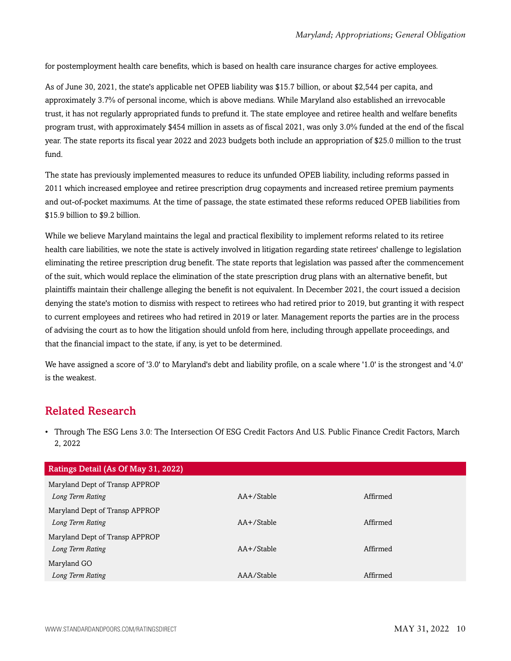for postemployment health care benefits, which is based on health care insurance charges for active employees.

As of June 30, 2021, the state's applicable net OPEB liability was \$15.7 billion, or about \$2,544 per capita, and approximately 3.7% of personal income, which is above medians. While Maryland also established an irrevocable trust, it has not regularly appropriated funds to prefund it. The state employee and retiree health and welfare benefits program trust, with approximately \$454 million in assets as of fiscal 2021, was only 3.0% funded at the end of the fiscal year. The state reports its fiscal year 2022 and 2023 budgets both include an appropriation of \$25.0 million to the trust fund.

The state has previously implemented measures to reduce its unfunded OPEB liability, including reforms passed in 2011 which increased employee and retiree prescription drug copayments and increased retiree premium payments and out-of-pocket maximums. At the time of passage, the state estimated these reforms reduced OPEB liabilities from \$15.9 billion to \$9.2 billion.

While we believe Maryland maintains the legal and practical flexibility to implement reforms related to its retiree health care liabilities, we note the state is actively involved in litigation regarding state retirees' challenge to legislation eliminating the retiree prescription drug benefit. The state reports that legislation was passed after the commencement of the suit, which would replace the elimination of the state prescription drug plans with an alternative benefit, but plaintiffs maintain their challenge alleging the benefit is not equivalent. In December 2021, the court issued a decision denying the state's motion to dismiss with respect to retirees who had retired prior to 2019, but granting it with respect to current employees and retirees who had retired in 2019 or later. Management reports the parties are in the process of advising the court as to how the litigation should unfold from here, including through appellate proceedings, and that the financial impact to the state, if any, is yet to be determined.

We have assigned a score of '3.0' to Maryland's debt and liability profile, on a scale where '1.0' is the strongest and '4.0' is the weakest.

# <span id="page-9-0"></span>Related Research

• Through The ESG Lens 3.0: The Intersection Of ESG Credit Factors And U.S. Public Finance Credit Factors, March 2, 2022

| Ratings Detail (As Of May 31, 2022) |                 |          |
|-------------------------------------|-----------------|----------|
| Maryland Dept of Transp APPROP      |                 |          |
| Long Term Rating                    | $AA+$ /Stable   | Affirmed |
| Maryland Dept of Transp APPROP      |                 |          |
| Long Term Rating                    | $AA + /$ Stable | Affirmed |
| Maryland Dept of Transp APPROP      |                 |          |
| Long Term Rating                    | $AA + /$ Stable | Affirmed |
| Maryland GO                         |                 |          |
| Long Term Rating                    | AAA/Stable      | Affirmed |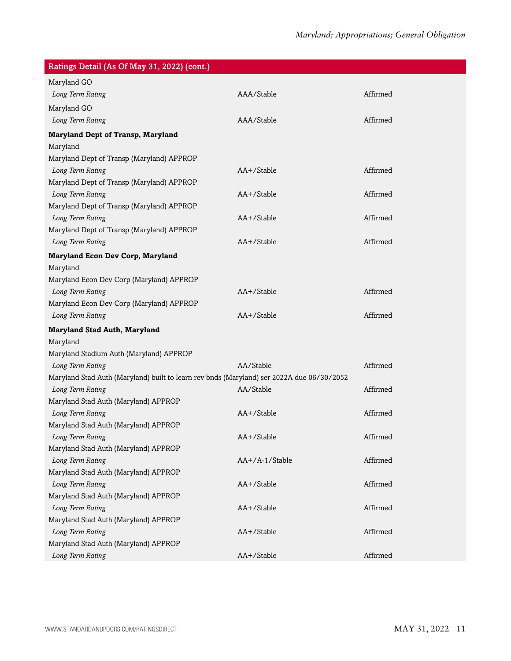| Ratings Detail (As Of May 31, 2022) (cont.)                                               |                |          |  |
|-------------------------------------------------------------------------------------------|----------------|----------|--|
| Maryland GO                                                                               |                |          |  |
| Long Term Rating                                                                          | AAA/Stable     | Affirmed |  |
| Maryland GO                                                                               |                |          |  |
| Long Term Rating                                                                          | AAA/Stable     | Affirmed |  |
| <b>Maryland Dept of Transp, Maryland</b>                                                  |                |          |  |
| Maryland                                                                                  |                |          |  |
| Maryland Dept of Transp (Maryland) APPROP                                                 |                |          |  |
| Long Term Rating                                                                          | AA+/Stable     | Affirmed |  |
| Maryland Dept of Transp (Maryland) APPROP                                                 |                |          |  |
| Long Term Rating                                                                          | AA+/Stable     | Affirmed |  |
| Maryland Dept of Transp (Maryland) APPROP                                                 |                |          |  |
| Long Term Rating                                                                          | AA+/Stable     | Affirmed |  |
| Maryland Dept of Transp (Maryland) APPROP                                                 |                |          |  |
| Long Term Rating                                                                          | AA+/Stable     | Affirmed |  |
| <b>Maryland Econ Dev Corp, Maryland</b>                                                   |                |          |  |
| Maryland                                                                                  |                |          |  |
| Maryland Econ Dev Corp (Maryland) APPROP                                                  |                |          |  |
| Long Term Rating                                                                          | AA+/Stable     | Affirmed |  |
| Maryland Econ Dev Corp (Maryland) APPROP                                                  |                |          |  |
| Long Term Rating                                                                          | AA+/Stable     | Affirmed |  |
| <b>Maryland Stad Auth, Maryland</b>                                                       |                |          |  |
| Maryland                                                                                  |                |          |  |
| Maryland Stadium Auth (Maryland) APPROP                                                   |                |          |  |
| Long Term Rating                                                                          | AA/Stable      | Affirmed |  |
| Maryland Stad Auth (Maryland) built to learn rev bnds (Maryland) ser 2022A due 06/30/2052 |                |          |  |
| Long Term Rating                                                                          | AA/Stable      | Affirmed |  |
| Maryland Stad Auth (Maryland) APPROP                                                      |                |          |  |
| Long Term Rating                                                                          | AA+/Stable     | Affirmed |  |
| Maryland Stad Auth (Maryland) APPROP                                                      |                |          |  |
| Long Term Rating                                                                          | AA+/Stable     | Affirmed |  |
| Maryland Stad Auth (Maryland) APPROP                                                      |                |          |  |
| Long Term Rating                                                                          | AA+/A-1/Stable | Affirmed |  |
| Maryland Stad Auth (Maryland) APPROP                                                      |                |          |  |
| Long Term Rating                                                                          | AA+/Stable     | Affirmed |  |
| Maryland Stad Auth (Maryland) APPROP                                                      |                |          |  |
| Long Term Rating                                                                          | AA+/Stable     | Affirmed |  |
| Maryland Stad Auth (Maryland) APPROP                                                      |                |          |  |
| Long Term Rating                                                                          | AA+/Stable     | Affirmed |  |
| Maryland Stad Auth (Maryland) APPROP                                                      |                |          |  |
| Long Term Rating                                                                          | AA+/Stable     | Affirmed |  |